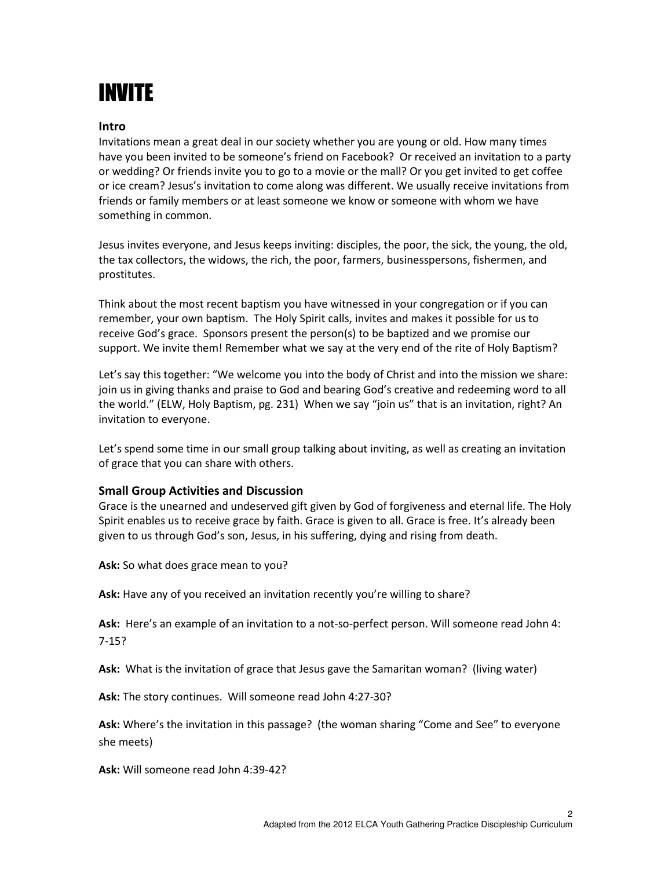## INVITE

## Intro

Invitations mean a great deal in our society whether you are young or old. How many times have you been invited to be someone's friend on Facebook? Or received an invitation to a party or wedding? Or friends invite you to go to a movie or the mall? Or you get invited to get coffee or ice cream? Jesus's invitation to come along was different. We usually receive invitations from friends or family members or at least someone we know or someone with whom we have something in common.

Jesus invites everyone, and Jesus keeps inviting: disciples, the poor, the sick, the young, the old, the tax collectors, the widows, the rich, the poor, farmers, businesspersons, fishermen, and prostitutes.

Think about the most recent baptism you have witnessed in your congregation or if you can remember, your own baptism. The Holy Spirit calls, invites and makes it possible for us to receive God's grace. Sponsors present the person(s) to be baptized and we promise our support. We invite them! Remember what we say at the very end of the rite of Holy Baptism?

Let's say this together: "We welcome you into the body of Christ and into the mission we share: join us in giving thanks and praise to God and bearing God's creative and redeeming word to all the world." (ELW, Holy Baptism, pg. 231) When we say "join us" that is an invitation, right? An invitation to everyone.

Let's spend some time in our small group talking about inviting, as well as creating an invitation of grace that you can share with others.

## Small Group Activities and Discussion

Grace is the unearned and undeserved gift given by God of forgiveness and eternal life. The Holy Spirit enables us to receive grace by faith. Grace is given to all. Grace is free. It's already been given to us through God's son, Jesus, in his suffering, dying and rising from death.

Ask: So what does grace mean to you?

Ask: Have any of you received an invitation recently you're willing to share?

Ask: Here's an example of an invitation to a not-so-perfect person. Will someone read John 4: 7-15?

Ask: What is the invitation of grace that Jesus gave the Samaritan woman? (living water)

Ask: The story continues. Will someone read John 4:27-30?

Ask: Where's the invitation in this passage? (the woman sharing "Come and See" to everyone she meets)

Ask: Will someone read John 4:39-42?